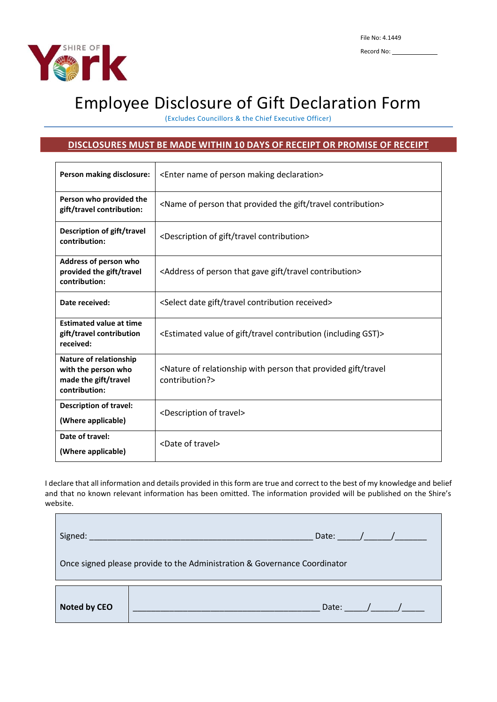

Г

## Employee Disclosure of Gift Declaration Form

(Excludes Councillors & the Chief Executive Officer)

## **DISCLOSURES MUST BE MADE WITHIN 10 DAYS OF RECEIPT OR PROMISE OF RECEIPT**

| Person making disclosure:                                                              | <enter declaration="" making="" name="" of="" person=""></enter>                                                    |  |  |  |
|----------------------------------------------------------------------------------------|---------------------------------------------------------------------------------------------------------------------|--|--|--|
| Person who provided the<br>gift/travel contribution:                                   | <name contribution="" gift="" of="" person="" provided="" that="" the="" travel=""></name>                          |  |  |  |
| Description of gift/travel<br>contribution:                                            | <description contribution="" gift="" of="" travel=""></description>                                                 |  |  |  |
| Address of person who<br>provided the gift/travel<br>contribution:                     | <address contribution="" gave="" gift="" of="" person="" that="" travel=""></address>                               |  |  |  |
| Date received:                                                                         | <select contribution="" date="" gift="" received="" travel=""></select>                                             |  |  |  |
| <b>Estimated value at time</b><br>gift/travel contribution<br>received:                | <estimated (including="" contribution="" gift="" gst)="" of="" travel="" value=""></estimated>                      |  |  |  |
| Nature of relationship<br>with the person who<br>made the gift/travel<br>contribution: | <nature gift="" of="" person="" provided="" relationship="" that="" travel<br="" with="">contribution?&gt;</nature> |  |  |  |
| <b>Description of travel:</b><br>(Where applicable)                                    | <description of="" travel=""></description>                                                                         |  |  |  |
| Date of travel:<br>(Where applicable)                                                  | <date of="" travel=""></date>                                                                                       |  |  |  |

I declare that all information and details provided in this form are true and correct to the best of my knowledge and belief and that no known relevant information has been omitted. The information provided will be published on the Shire's website.

|                                                                           | Date: $\sqrt{2\pi}$ |  |  |  |  |
|---------------------------------------------------------------------------|---------------------|--|--|--|--|
| Once signed please provide to the Administration & Governance Coordinator |                     |  |  |  |  |
| Noted by CEO                                                              | Date: $\sqrt{2}$    |  |  |  |  |